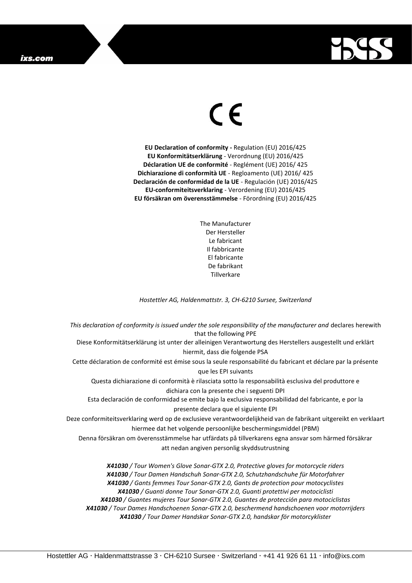

## $\epsilon$

**EU Declaration of conformity -** Regulation (EU) 2016/425 **EU Konformitätserklärung** - Verordnung (EU) 2016/425 **Déclaration UE de conformité** - Reglément (UE) 2016/ 425 **Dichiarazione di conformità UE** - Regloamento (UE) 2016/ 425 **Declaración de conformidad de la UE** - Regulación (UE) 2016/425 **EU-conformiteitsverklaring** - Verordening (EU) 2016/425 **EU försäkran om överensstämmelse** - Förordning (EU) 2016/425

> The Manufacturer Der Hersteller Le fabricant Il fabbricante El fabricante De fabrikant **Tillverkare**

*Hostettler AG, Haldenmattstr. 3, CH-6210 Sursee, Switzerland*

*This declaration of conformity is issued under the sole responsibility of the manufacturer and* declares herewith that the following PPE Diese Konformitätserklärung ist unter der alleinigen Verantwortung des Herstellers ausgestellt und erklärt hiermit, dass die folgende PSA Cette déclaration de conformité est émise sous la seule responsabilité du fabricant et déclare par la présente que les EPI suivants Questa dichiarazione di conformità è rilasciata sotto la responsabilità esclusiva del produttore e dichiara con la presente che i seguenti DPI Esta declaración de conformidad se emite bajo la exclusiva responsabilidad del fabricante, e por la presente declara que el siguiente EPI Deze conformiteitsverklaring werd op de exclusieve verantwoordelijkheid van de fabrikant uitgereikt en verklaart hiermee dat het volgende persoonlijke beschermingsmiddel (PBM) Denna försäkran om överensstämmelse har utfärdats på tillverkarens egna ansvar som härmed försäkrar att nedan angiven personlig skyddsutrustning *X41030 / Tour Women's Glove Sonar-GTX 2.0, Protective gloves for motorcycle riders X41030 / Tour Damen Handschuh Sonar-GTX 2.0, Schutzhandschuhe für Motorfahrer X41030 / Gants femmes Tour Sonar-GTX 2.0, Gants de protection pour motocyclistes X41030 / Guanti donne Tour Sonar-GTX 2.0, Guanti protettivi per motociclisti X41030 / Guantes mujeres Tour Sonar-GTX 2.0, Guantes de protección para motociclistas*

*X41030 / Tour Dames Handschoenen Sonar-GTX 2.0, beschermend handschoenen voor motorrijders X41030 / Tour Damer Handskar Sonar-GTX 2.0, handskar för motorcyklister*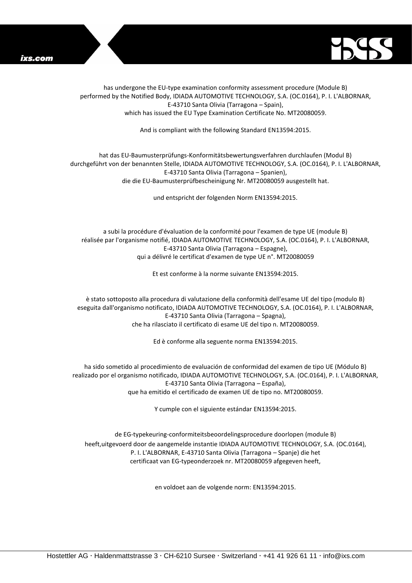



has undergone the EU-type examination conformity assessment procedure (Module B) performed by the Notified Body, IDIADA AUTOMOTIVE TECHNOLOGY, S.A. (OC.0164), P. I. L'ALBORNAR, E-43710 Santa Olivia (Tarragona – Spain), which has issued the EU Type Examination Certificate No. MT20080059.

And is compliant with the following Standard EN13594:2015.

## hat das EU-Baumusterprüfungs-Konformitätsbewertungsverfahren durchlaufen (Modul B) durchgeführt von der benannten Stelle, IDIADA AUTOMOTIVE TECHNOLOGY, S.A. (OC.0164), P. I. L'ALBORNAR, E-43710 Santa Olivia (Tarragona – Spanien), die die EU-Baumusterprüfbescheinigung Nr. MT20080059 ausgestellt hat.

und entspricht der folgenden Norm EN13594:2015.

a subi la procédure d'évaluation de la conformité pour l'examen de type UE (module B) réalisée par l'organisme notifié, IDIADA AUTOMOTIVE TECHNOLOGY, S.A. (OC.0164), P. I. L'ALBORNAR, E-43710 Santa Olivia (Tarragona – Espagne), qui a délivré le certificat d'examen de type UE n°. MT20080059

Et est conforme à la norme suivante EN13594:2015.

è stato sottoposto alla procedura di valutazione della conformità dell'esame UE del tipo (modulo B) eseguita dall'organismo notificato, IDIADA AUTOMOTIVE TECHNOLOGY, S.A. (OC.0164), P. I. L'ALBORNAR, E-43710 Santa Olivia (Tarragona – Spagna), che ha rilasciato il certificato di esame UE del tipo n. MT20080059.

Ed è conforme alla seguente norma EN13594:2015.

ha sido sometido al procedimiento de evaluación de conformidad del examen de tipo UE (Módulo B) realizado por el organismo notificado, IDIADA AUTOMOTIVE TECHNOLOGY, S.A. (OC.0164), P. I. L'ALBORNAR, E-43710 Santa Olivia (Tarragona – España), que ha emitido el certificado de examen UE de tipo no. MT20080059.

Y cumple con el siguiente estándar EN13594:2015.

de EG-typekeuring-conformiteitsbeoordelingsprocedure doorlopen (module B) heeft,uitgevoerd door de aangemelde instantie IDIADA AUTOMOTIVE TECHNOLOGY, S.A. (OC.0164), P. I. L'ALBORNAR, E-43710 Santa Olivia (Tarragona – Spanje) die het certificaat van EG-typeonderzoek nr. MT20080059 afgegeven heeft,

en voldoet aan de volgende norm: EN13594:2015.